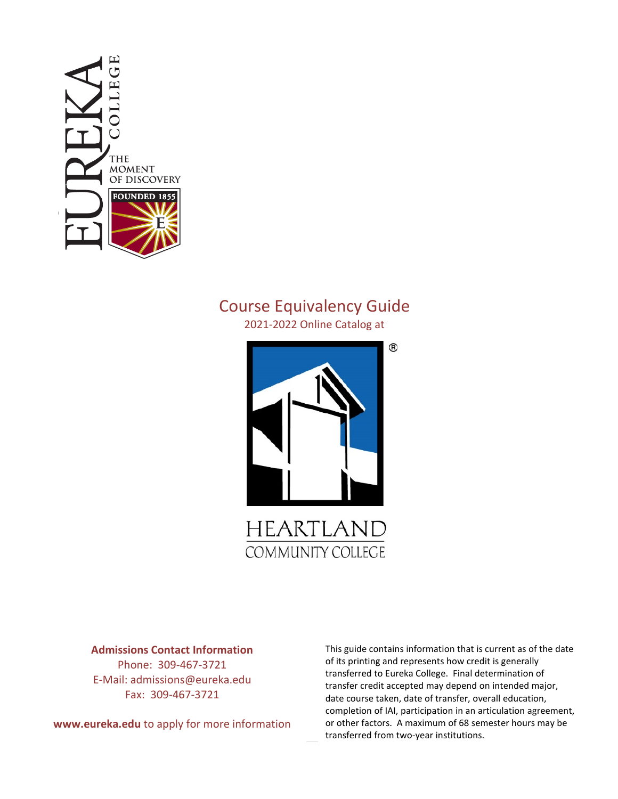

# Course Equivalency Guide

2021-2022 Online Catalog at



**COMMUNITY COLLEGE** 

**Admissions Contact Information**

Phone: 309-467-3721 E-Mail: admissions@eureka.edu Fax: 309-467-3721

**www.eureka.edu** to apply for more information

This guide contains information that is current as of the date of its printing and represents how credit is generally transferred to Eureka College. Final determination of transfer credit accepted may depend on intended major, date course taken, date of transfer, overall education, completion of IAI, participation in an articulation agreement, or other factors. A maximum of 68 semester hours may be transferred from two-year institutions.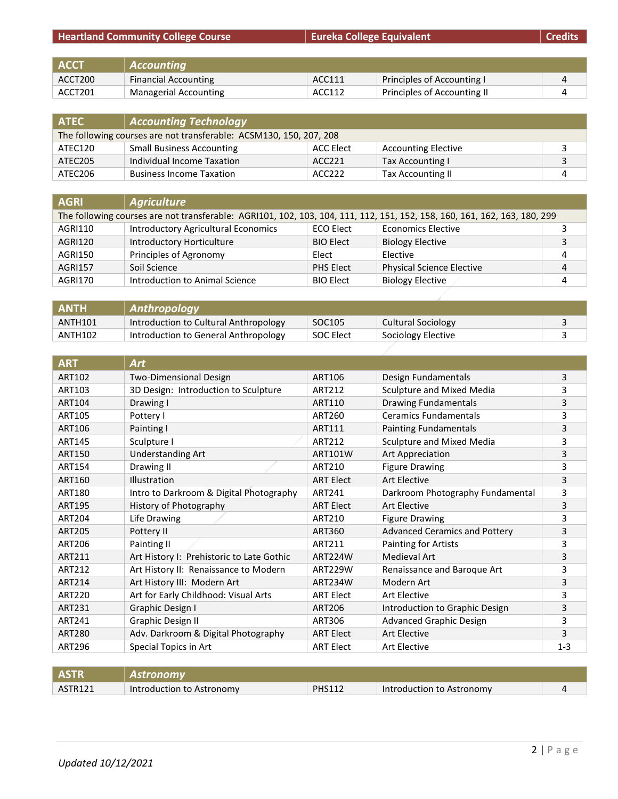| <b>Heartland Community College Course</b> |                              | Eureka College Equivalent |                             | <b>Credits</b> |
|-------------------------------------------|------------------------------|---------------------------|-----------------------------|----------------|
|                                           |                              |                           |                             |                |
| <b>ACCT</b>                               | <b>Accounting</b>            |                           |                             |                |
| ACCT200                                   | <b>Financial Accounting</b>  | ACC111                    | Principles of Accounting I  |                |
| ACCT201                                   | <b>Managerial Accounting</b> | ACC112                    | Principles of Accounting II |                |

| <b>ATEC</b>                                                        | <b>Accounting Technology</b>     |                    |                            |  |
|--------------------------------------------------------------------|----------------------------------|--------------------|----------------------------|--|
| The following courses are not transferable: ACSM130, 150, 207, 208 |                                  |                    |                            |  |
| ATEC120                                                            | <b>Small Business Accounting</b> | ACC Elect          | <b>Accounting Elective</b> |  |
| ATEC205                                                            | Individual Income Taxation       | ACC <sub>221</sub> | Tax Accounting I           |  |
| ATEC206                                                            | <b>Business Income Taxation</b>  | ACC222             | Tax Accounting II          |  |

| <b>AGRI</b>    | <b>Agriculture</b>                                                                                                        |                  |                                  |   |
|----------------|---------------------------------------------------------------------------------------------------------------------------|------------------|----------------------------------|---|
|                | The following courses are not transferable: AGRI101, 102, 103, 104, 111, 112, 151, 152, 158, 160, 161, 162, 163, 180, 299 |                  |                                  |   |
| AGRI110        | <b>Introductory Agricultural Economics</b>                                                                                | <b>ECO Elect</b> | <b>Economics Elective</b>        |   |
| AGRI120        | Introductory Horticulture                                                                                                 | <b>BIO Elect</b> | <b>Biology Elective</b>          |   |
| AGRI150        | Principles of Agronomy                                                                                                    | Elect            | Elective                         | 4 |
| <b>AGRI157</b> | Soil Science                                                                                                              | PHS Elect        | <b>Physical Science Elective</b> | 4 |
| <b>AGRI170</b> | Introduction to Animal Science                                                                                            | <b>BIO Elect</b> | <b>Biology Elective</b>          |   |

| ' ANTH.             | <b>Anthropology</b>                   |                  |                    |  |
|---------------------|---------------------------------------|------------------|--------------------|--|
| ANTH <sub>101</sub> | Introduction to Cultural Anthropology | SOC105           | Cultural Sociology |  |
| ANTH102             | Introduction to General Anthropology  | <b>SOC Elect</b> | Sociology Elective |  |

| <b>ART</b>    | <b>Art</b>                                |                  |                                      |         |
|---------------|-------------------------------------------|------------------|--------------------------------------|---------|
| <b>ART102</b> | <b>Two-Dimensional Design</b>             | ART106           | Design Fundamentals                  | 3       |
| ART103        | 3D Design: Introduction to Sculpture      | ART212           | Sculpture and Mixed Media            | 3       |
| <b>ART104</b> | Drawing I                                 | ART110           | <b>Drawing Fundamentals</b>          | 3       |
| <b>ART105</b> | Pottery I                                 | ART260           | <b>Ceramics Fundamentals</b>         | 3       |
| <b>ART106</b> | Painting I                                | ART111           | <b>Painting Fundamentals</b>         | 3       |
| <b>ART145</b> | Sculpture I                               | ART212           | Sculpture and Mixed Media            | 3       |
| <b>ART150</b> | <b>Understanding Art</b>                  | ART101W          | Art Appreciation                     | 3       |
| <b>ART154</b> | Drawing II                                | ART210           | <b>Figure Drawing</b>                | 3       |
| ART160        | <b>Illustration</b>                       | <b>ART Elect</b> | <b>Art Elective</b>                  | 3       |
| <b>ART180</b> | Intro to Darkroom & Digital Photography   | ART241           | Darkroom Photography Fundamental     | 3       |
| <b>ART195</b> | History of Photography                    | <b>ART Elect</b> | <b>Art Elective</b>                  | 3       |
| <b>ART204</b> | Life Drawing                              | ART210           | <b>Figure Drawing</b>                | 3       |
| <b>ART205</b> | Pottery II                                | ART360           | <b>Advanced Ceramics and Pottery</b> | 3       |
| <b>ART206</b> | Painting II                               | ART211           | Painting for Artists                 | 3       |
| ART211        | Art History I: Prehistoric to Late Gothic | <b>ART224W</b>   | <b>Medieval Art</b>                  | 3       |
| <b>ART212</b> | Art History II: Renaissance to Modern     | ART229W          | Renaissance and Baroque Art          | 3       |
| ART214        | Art History III: Modern Art               | ART234W          | Modern Art                           | 3       |
| <b>ART220</b> | Art for Early Childhood: Visual Arts      | <b>ART Elect</b> | Art Elective                         | 3       |
| ART231        | Graphic Design I                          | <b>ART206</b>    | Introduction to Graphic Design       | 3       |
| ART241        | Graphic Design II                         | ART306           | <b>Advanced Graphic Design</b>       | 3       |
| <b>ART280</b> | Adv. Darkroom & Digital Photography       | <b>ART Elect</b> | Art Elective                         | 3       |
| <b>ART296</b> | Special Topics in Art                     | <b>ART Elect</b> | <b>Art Elective</b>                  | $1 - 3$ |

| <b>ASTR</b> | Astronomy                 |               |                           |  |
|-------------|---------------------------|---------------|---------------------------|--|
| ASTR121     | Introduction to Astronomy | <b>PHS112</b> | Introduction to Astronomy |  |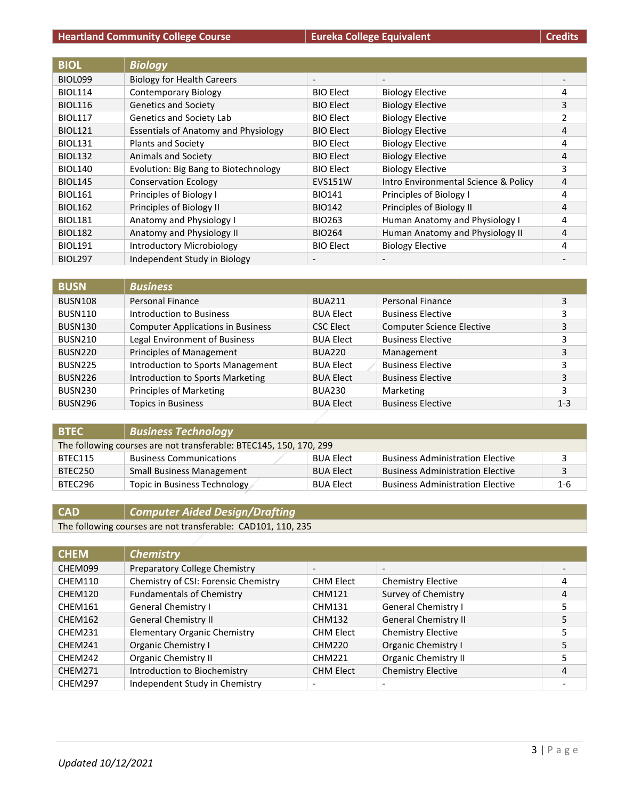| <b>BIOL</b>    | <b>Biology</b>                              |                          |                                      |   |
|----------------|---------------------------------------------|--------------------------|--------------------------------------|---|
| BIOL099        | <b>Biology for Health Careers</b>           | $\overline{\phantom{a}}$ | $\overline{\phantom{a}}$             |   |
| <b>BIOL114</b> | <b>Contemporary Biology</b>                 | <b>BIO Elect</b>         | <b>Biology Elective</b>              | 4 |
| <b>BIOL116</b> | <b>Genetics and Society</b>                 | <b>BIO Elect</b>         | <b>Biology Elective</b>              | 3 |
| <b>BIOL117</b> | Genetics and Society Lab                    | <b>BIO Elect</b>         | <b>Biology Elective</b>              | 2 |
| <b>BIOL121</b> | <b>Essentials of Anatomy and Physiology</b> | <b>BIO Elect</b>         | <b>Biology Elective</b>              | 4 |
| <b>BIOL131</b> | <b>Plants and Society</b>                   | <b>BIO Elect</b>         | <b>Biology Elective</b>              | 4 |
| <b>BIOL132</b> | <b>Animals and Society</b>                  | <b>BIO Elect</b>         | <b>Biology Elective</b>              | 4 |
| <b>BIOL140</b> | Evolution: Big Bang to Biotechnology        | <b>BIO Elect</b>         | <b>Biology Elective</b>              | 3 |
| <b>BIOL145</b> | <b>Conservation Ecology</b>                 | <b>EVS151W</b>           | Intro Environmental Science & Policy | 4 |
| <b>BIOL161</b> | Principles of Biology I                     | <b>BIO141</b>            | Principles of Biology I              | 4 |
| <b>BIOL162</b> | Principles of Biology II                    | <b>BIO142</b>            | Principles of Biology II             | 4 |
| <b>BIOL181</b> | Anatomy and Physiology I                    | BIO263                   | Human Anatomy and Physiology I       | 4 |
| <b>BIOL182</b> | Anatomy and Physiology II                   | <b>BIO264</b>            | Human Anatomy and Physiology II      | 4 |
| <b>BIOL191</b> | <b>Introductory Microbiology</b>            | <b>BIO Elect</b>         | <b>Biology Elective</b>              | 4 |
| <b>BIOL297</b> | Independent Study in Biology                |                          |                                      |   |

| <b>BUSN</b>    | <b>Business</b>                          |                  |                                  |         |
|----------------|------------------------------------------|------------------|----------------------------------|---------|
| BUSN108        | Personal Finance                         | <b>BUA211</b>    | Personal Finance                 | 3       |
| BUSN110        | Introduction to Business                 | <b>BUA Elect</b> | <b>Business Elective</b>         | 3       |
| BUSN130        | <b>Computer Applications in Business</b> | <b>CSC Elect</b> | <b>Computer Science Elective</b> | 3       |
| <b>BUSN210</b> | Legal Environment of Business            | <b>BUA Elect</b> | <b>Business Elective</b>         | 3       |
| BUSN220        | Principles of Management                 | <b>BUA220</b>    | Management                       | 3       |
| BUSN225        | Introduction to Sports Management        | <b>BUA Elect</b> | <b>Business Elective</b>         | 3       |
| BUSN226        | Introduction to Sports Marketing         | <b>BUA Elect</b> | <b>Business Elective</b>         | 3       |
| BUSN230        | <b>Principles of Marketing</b>           | <b>BUA230</b>    | Marketing                        | 3       |
| <b>BUSN296</b> | <b>Topics in Business</b>                | <b>BUA Elect</b> | <b>Business Elective</b>         | $1 - 3$ |

| <b>BTEC</b>                                                        | <b>Business Technology</b>       |                  |                                         |         |
|--------------------------------------------------------------------|----------------------------------|------------------|-----------------------------------------|---------|
| The following courses are not transferable: BTEC145, 150, 170, 299 |                                  |                  |                                         |         |
| BTEC115                                                            | <b>Business Communications</b>   | <b>BUA Elect</b> | <b>Business Administration Elective</b> |         |
| BTEC250                                                            | <b>Small Business Management</b> | <b>BUA Elect</b> | <b>Business Administration Elective</b> |         |
| BTEC296                                                            | Topic in Business Technology     | <b>BUA Elect</b> | <b>Business Administration Elective</b> | $1 - 6$ |

# **CAD** *Computer Aided Design/Drafting*

The following courses are not transferable: CAD101, 110, 235

| <b>CHEM</b> | <b>Chemistry</b>                     |                          |                             |   |
|-------------|--------------------------------------|--------------------------|-----------------------------|---|
| CHEM099     | Preparatory College Chemistry        | $\overline{\phantom{a}}$ |                             |   |
| CHEM110     | Chemistry of CSI: Forensic Chemistry | <b>CHM Elect</b>         | <b>Chemistry Elective</b>   | 4 |
| CHEM120     | <b>Fundamentals of Chemistry</b>     | <b>CHM121</b>            | Survey of Chemistry         | 4 |
| CHEM161     | General Chemistry I                  | CHM131                   | <b>General Chemistry I</b>  | 5 |
| CHEM162     | <b>General Chemistry II</b>          | <b>CHM132</b>            | <b>General Chemistry II</b> | 5 |
| CHEM231     | <b>Elementary Organic Chemistry</b>  | <b>CHM Elect</b>         | <b>Chemistry Elective</b>   |   |
| CHEM241     | Organic Chemistry I                  | <b>CHM220</b>            | Organic Chemistry I         | 5 |
| CHEM242     | <b>Organic Chemistry II</b>          | <b>CHM221</b>            | <b>Organic Chemistry II</b> |   |
| CHEM271     | Introduction to Biochemistry         | <b>CHM Elect</b>         | <b>Chemistry Elective</b>   | 4 |
| CHEM297     | Independent Study in Chemistry       | $\overline{\phantom{a}}$ |                             |   |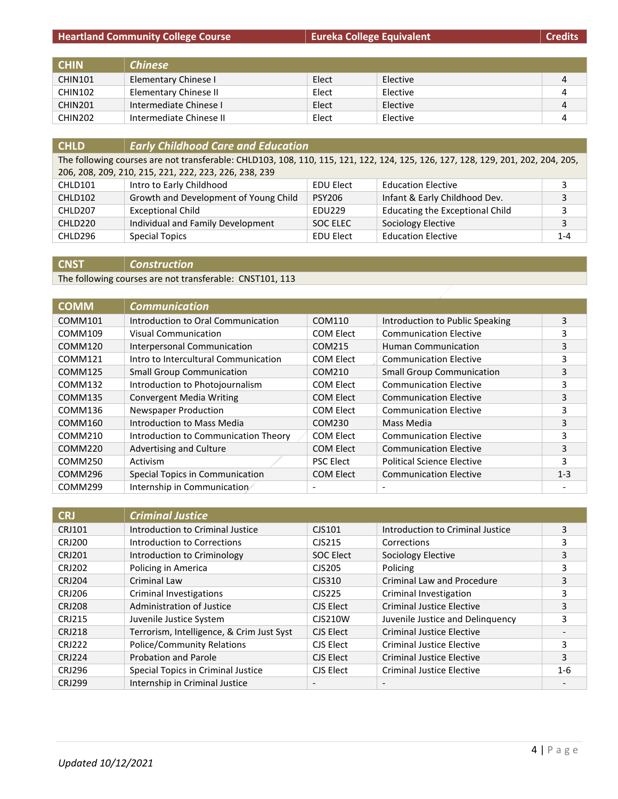| <b>CHIN</b>    | <b>Chinese</b>          |       |          |   |
|----------------|-------------------------|-------|----------|---|
| CHIN101        | Elementary Chinese I    | Elect | Elective | 4 |
| CHIN102        | Elementary Chinese II   | Elect | Elective | 4 |
| CHIN201        | Intermediate Chinese I  | Elect | Elective | 4 |
| <b>CHIN202</b> | Intermediate Chinese II | Elect | Elective | 4 |

| <b>CHLD</b>                                           | <b>Early Childhood Care and Education</b>                                                                                       |                  |                                        |         |
|-------------------------------------------------------|---------------------------------------------------------------------------------------------------------------------------------|------------------|----------------------------------------|---------|
|                                                       | The following courses are not transferable: CHLD103, 108, 110, 115, 121, 122, 124, 125, 126, 127, 128, 129, 201, 202, 204, 205, |                  |                                        |         |
| 206, 208, 209, 210, 215, 221, 222, 223, 226, 238, 239 |                                                                                                                                 |                  |                                        |         |
| CHLD101                                               | Intro to Early Childhood                                                                                                        | <b>EDU Elect</b> | <b>Education Elective</b>              | 3       |
| CHLD102                                               | Growth and Development of Young Child                                                                                           | <b>PSY206</b>    | Infant & Early Childhood Dev.          | 3       |
| CHLD207                                               | <b>Exceptional Child</b>                                                                                                        | <b>EDU229</b>    | <b>Educating the Exceptional Child</b> | 3       |
| CHLD220                                               | Individual and Family Development                                                                                               | SOC ELEC         | Sociology Elective                     | 3       |
| CHLD296                                               | <b>Special Topics</b>                                                                                                           | <b>EDU Elect</b> | <b>Education Elective</b>              | $1 - 4$ |

**CNST** *Construction*

The following courses are not transferable: CNST101, 113

| <b>COMM</b> | <b>Communication</b>                 |                          |                                   |         |
|-------------|--------------------------------------|--------------------------|-----------------------------------|---------|
| COMM101     | Introduction to Oral Communication   | COM110                   | Introduction to Public Speaking   | 3       |
| COMM109     | Visual Communication                 | <b>COM Elect</b>         | <b>Communication Elective</b>     | 3       |
| COMM120     | Interpersonal Communication          | COM215                   | <b>Human Communication</b>        | 3       |
| COMM121     | Intro to Intercultural Communication | COM Elect                | <b>Communication Elective</b>     | 3       |
| COMM125     | <b>Small Group Communication</b>     | COM210                   | <b>Small Group Communication</b>  | 3       |
| COMM132     | Introduction to Photojournalism      | COM Elect                | <b>Communication Elective</b>     | 3       |
| COMM135     | <b>Convergent Media Writing</b>      | <b>COM Elect</b>         | <b>Communication Elective</b>     | 3       |
| COMM136     | Newspaper Production                 | COM Elect                | <b>Communication Elective</b>     | 3       |
| COMM160     | Introduction to Mass Media           | COM230                   | Mass Media                        | 3       |
| COMM210     | Introduction to Communication Theory | COM Elect                | <b>Communication Elective</b>     | 3       |
| COMM220     | Advertising and Culture              | <b>COM Elect</b>         | <b>Communication Elective</b>     | 3       |
| COMM250     | Activism                             | <b>PSC Elect</b>         | <b>Political Science Elective</b> | 3       |
| COMM296     | Special Topics in Communication      | <b>COM Elect</b>         | <b>Communication Elective</b>     | $1 - 3$ |
| COMM299     | Internship in Communication          | $\overline{\phantom{0}}$ |                                   |         |

| <b>CRJ</b>    | <b>Criminal Justice</b>                   |                          |                                  |         |
|---------------|-------------------------------------------|--------------------------|----------------------------------|---------|
| <b>CRJ101</b> | Introduction to Criminal Justice          | CJS101                   | Introduction to Criminal Justice | 3       |
| <b>CRJ200</b> | Introduction to Corrections               | CJS215                   | Corrections                      | 3       |
| <b>CRJ201</b> | Introduction to Criminology               | <b>SOC Elect</b>         | Sociology Elective               | 3       |
| <b>CRJ202</b> | Policing in America                       | CJS205                   | Policing                         | 3       |
| <b>CRJ204</b> | Criminal Law                              | CJS310                   | Criminal Law and Procedure       | 3       |
| <b>CRJ206</b> | Criminal Investigations                   | CJS225                   | Criminal Investigation           | 3       |
| <b>CRJ208</b> | Administration of Justice                 | CJS Elect                | <b>Criminal Justice Elective</b> | 3       |
| <b>CRJ215</b> | Juvenile Justice System                   | <b>CJS210W</b>           | Juvenile Justice and Delinguency | 3       |
| <b>CRJ218</b> | Terrorism, Intelligence, & Crim Just Syst | CJS Elect                | <b>Criminal Justice Elective</b> |         |
| <b>CRJ222</b> | <b>Police/Community Relations</b>         | CJS Elect                | <b>Criminal Justice Elective</b> | 3       |
| <b>CRJ224</b> | <b>Probation and Parole</b>               | CJS Elect                | <b>Criminal Justice Elective</b> | 3       |
| <b>CRJ296</b> | Special Topics in Criminal Justice        | CJS Elect                | <b>Criminal Justice Elective</b> | $1 - 6$ |
| <b>CRJ299</b> | Internship in Criminal Justice            | $\overline{\phantom{a}}$ | $\overline{\phantom{0}}$         |         |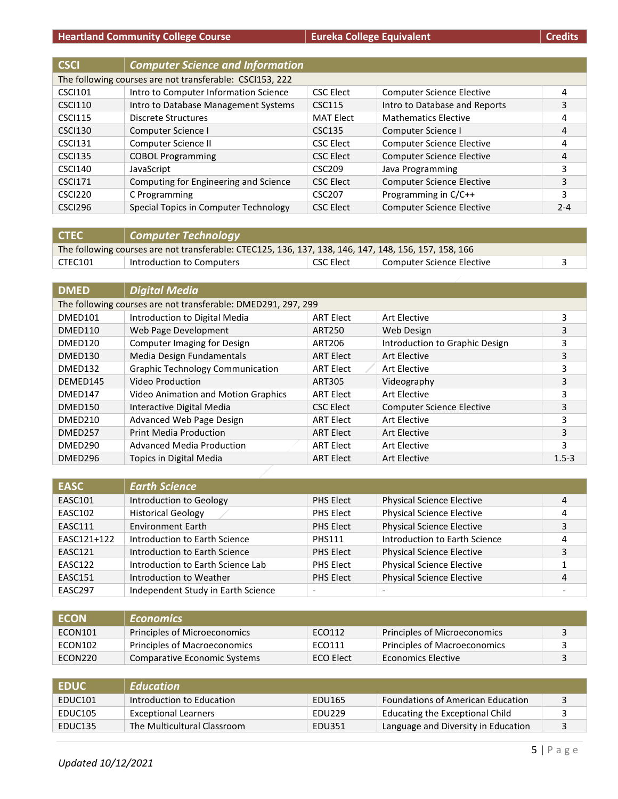| <b>CSCI</b>    | <b>Computer Science and Information</b>                  |                    |                                  |         |
|----------------|----------------------------------------------------------|--------------------|----------------------------------|---------|
|                | The following courses are not transferable: CSCI153, 222 |                    |                                  |         |
| <b>CSCI101</b> | Intro to Computer Information Science                    | <b>CSC Elect</b>   | <b>Computer Science Elective</b> | 4       |
| <b>CSCI110</b> | Intro to Database Management Systems                     | <b>CSC115</b>      | Intro to Database and Reports    | 3       |
| <b>CSCI115</b> | Discrete Structures                                      | <b>MAT Elect</b>   | <b>Mathematics Elective</b>      | 4       |
| <b>CSCI130</b> | Computer Science I                                       | <b>CSC135</b>      | Computer Science I               | 4       |
| <b>CSCI131</b> | Computer Science II                                      | <b>CSC Elect</b>   | <b>Computer Science Elective</b> | 4       |
| <b>CSCI135</b> | <b>COBOL Programming</b>                                 | <b>CSC Elect</b>   | <b>Computer Science Elective</b> | 4       |
| <b>CSCI140</b> | JavaScript                                               | CSC <sub>209</sub> | Java Programming                 | 3       |
| <b>CSCI171</b> | Computing for Engineering and Science                    | <b>CSC Elect</b>   | <b>Computer Science Elective</b> | 3       |
| CSCI220        | C Programming                                            | <b>CSC207</b>      | Programming in C/C++             | 3       |
| <b>CSCI296</b> | Special Topics in Computer Technology                    | <b>CSC Elect</b>   | <b>Computer Science Elective</b> | $2 - 4$ |

| <b>CTEC</b>                                                                                           | Computer Technology       |           |                           |  |
|-------------------------------------------------------------------------------------------------------|---------------------------|-----------|---------------------------|--|
| The following courses are not transferable: CTEC125, 136, 137, 138, 146, 147, 148, 156, 157, 158, 166 |                           |           |                           |  |
| CTEC101                                                                                               | Introduction to Computers | CSC Elect | Computer Science Elective |  |

| <b>DMED</b> | <b>Digital Media</b>                                          |                  |                                  |           |
|-------------|---------------------------------------------------------------|------------------|----------------------------------|-----------|
|             | The following courses are not transferable: DMED291, 297, 299 |                  |                                  |           |
| DMED101     | Introduction to Digital Media                                 | <b>ART Elect</b> | Art Elective                     | 3         |
| DMED110     | Web Page Development                                          | <b>ART250</b>    | Web Design                       | 3         |
| DMED120     | Computer Imaging for Design                                   | ART206           | Introduction to Graphic Design   | 3         |
| DMED130     | Media Design Fundamentals                                     | <b>ART Elect</b> | Art Elective                     | 3         |
| DMED132     | <b>Graphic Technology Communication</b>                       | <b>ART Elect</b> | Art Elective                     | 3         |
| DEMED145    | Video Production                                              | <b>ART305</b>    | Videography                      | 3         |
| DMED147     | <b>Video Animation and Motion Graphics</b>                    | <b>ART Elect</b> | Art Elective                     | 3         |
| DMED150     | Interactive Digital Media                                     | <b>CSC Elect</b> | <b>Computer Science Elective</b> | 3         |
| DMED210     | Advanced Web Page Design                                      | <b>ART Elect</b> | Art Elective                     | 3         |
| DMED257     | <b>Print Media Production</b>                                 | <b>ART Elect</b> | Art Elective                     | 3         |
| DMED290     | <b>Advanced Media Production</b>                              | <b>ART Elect</b> | Art Elective                     | 3         |
| DMED296     | Topics in Digital Media                                       | <b>ART Elect</b> | Art Elective                     | $1.5 - 3$ |

| <b>EASC</b>    | <b>Earth Science</b>               |                          |                                  |   |
|----------------|------------------------------------|--------------------------|----------------------------------|---|
| <b>EASC101</b> | Introduction to Geology            | PHS Elect                | <b>Physical Science Elective</b> | 4 |
| EASC102        | <b>Historical Geology</b>          | PHS Elect                | <b>Physical Science Elective</b> | 4 |
| EASC111        | <b>Environment Earth</b>           | PHS Elect                | <b>Physical Science Elective</b> | 3 |
| EASC121+122    | Introduction to Earth Science      | <b>PHS111</b>            | Introduction to Earth Science    | 4 |
| EASC121        | Introduction to Earth Science      | PHS Elect                | <b>Physical Science Elective</b> | 3 |
| EASC122        | Introduction to Earth Science Lab  | PHS Elect                | <b>Physical Science Elective</b> |   |
| EASC151        | Introduction to Weather            | PHS Elect                | <b>Physical Science Elective</b> | 4 |
| EASC297        | Independent Study in Earth Science | $\overline{\phantom{a}}$ |                                  |   |

| <b>ECON</b> | <b>Economics</b>             |           |                              |  |
|-------------|------------------------------|-----------|------------------------------|--|
| ECON101     | Principles of Microeconomics | ECO112    | Principles of Microeconomics |  |
| ECON102     | Principles of Macroeconomics | ECO111    | Principles of Macroeconomics |  |
| ECON220     | Comparative Economic Systems | ECO Elect | $\,$ Economics Elective $\,$ |  |

| <b>EDUC</b> | <b>Education</b>            |               |                                          |  |
|-------------|-----------------------------|---------------|------------------------------------------|--|
| EDUC101     | Introduction to Education   | EDU165        | <b>Foundations of American Education</b> |  |
| EDUC105     | <b>Exceptional Learners</b> | <b>EDU229</b> | Educating the Exceptional Child          |  |
| EDUC135     | The Multicultural Classroom | EDU351        | Language and Diversity in Education      |  |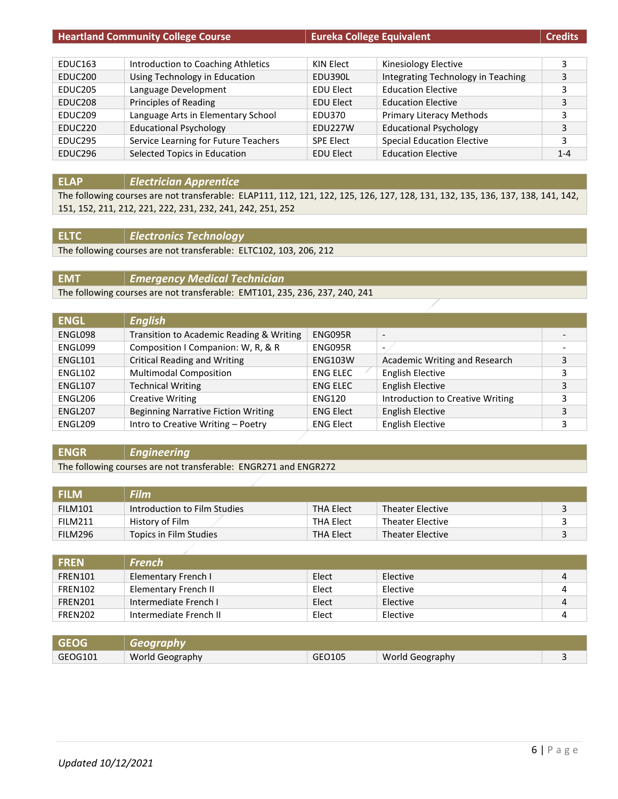| <b>Heartland Community College Course</b> |                                      | <b>Eureka College Equivalent</b> |                                    | <b>Credits</b> |
|-------------------------------------------|--------------------------------------|----------------------------------|------------------------------------|----------------|
|                                           |                                      |                                  |                                    |                |
| EDUC163                                   | Introduction to Coaching Athletics   | KIN Elect                        | Kinesiology Elective               | 3              |
| EDUC <sub>200</sub>                       | Using Technology in Education        | EDU390L                          | Integrating Technology in Teaching | 3              |
| EDUC <sub>205</sub>                       | Language Development                 | <b>EDU Elect</b>                 | <b>Education Elective</b>          | 3              |
| EDUC <sub>208</sub>                       | Principles of Reading                | <b>EDU Elect</b>                 | <b>Education Elective</b>          | 3              |
| EDUC <sub>209</sub>                       | Language Arts in Elementary School   | EDU370                           | Primary Literacy Methods           | 3              |
| EDUC <sub>220</sub>                       | <b>Educational Psychology</b>        | EDU227W                          | <b>Educational Psychology</b>      | 3              |
| EDUC295                                   | Service Learning for Future Teachers | <b>SPE Elect</b>                 | <b>Special Education Elective</b>  | 3              |
| EDUC296                                   | Selected Topics in Education         | <b>EDU Elect</b>                 | <b>Education Elective</b>          | $1 - 4$        |

## **ELAP** *Electrician Apprentice*

The following courses are not transferable: ELAP111, 112, 121, 122, 125, 126, 127, 128, 131, 132, 135, 136, 137, 138, 141, 142, 151, 152, 211, 212, 221, 222, 231, 232, 241, 242, 251, 252

## **ELTC** *Electronics Technology*

The following courses are not transferable: ELTC102, 103, 206, 212

**EMT** *Emergency Medical Technician*

The following courses are not transferable: EMT101, 235, 236, 237, 240, 241

| <b>ENGL</b> | <b>English</b>                             |                  |                                  |   |
|-------------|--------------------------------------------|------------------|----------------------------------|---|
| ENGL098     | Transition to Academic Reading & Writing   | ENG095R          | $\overline{\phantom{a}}$         |   |
| ENGL099     | Composition I Companion: W, R, & R         | ENG095R          |                                  | - |
| ENGL101     | <b>Critical Reading and Writing</b>        | <b>ENG103W</b>   | Academic Writing and Research    | 3 |
| ENGL102     | <b>Multimodal Composition</b>              | <b>ENG ELEC</b>  | <b>English Elective</b>          | 3 |
| ENGL107     | <b>Technical Writing</b>                   | <b>ENG ELEC</b>  | <b>English Elective</b>          | 3 |
| ENGL206     | <b>Creative Writing</b>                    | <b>ENG120</b>    | Introduction to Creative Writing | 3 |
| ENGL207     | <b>Beginning Narrative Fiction Writing</b> | <b>ENG Elect</b> | <b>English Elective</b>          | 3 |
| ENGL209     | Intro to Creative Writing - Poetry         | ENG Elect        | <b>English Elective</b>          | 3 |

## **ENGR** *Engineering*

The following courses are not transferable: ENGR271 and ENGR272

| <b>FILM</b>    | <b>Film</b>                  |                  |                         |  |
|----------------|------------------------------|------------------|-------------------------|--|
| <b>FILM101</b> | Introduction to Film Studies | <b>THA Elect</b> | <b>Theater Elective</b> |  |
| <b>FILM211</b> | History of Film              | <b>THA Elect</b> | <b>Theater Elective</b> |  |
| FILM296        | Topics in Film Studies       | <b>THA Elect</b> | <b>Theater Elective</b> |  |

| <b>FREN</b>    | <b>French</b>          |       |          |  |
|----------------|------------------------|-------|----------|--|
| <b>FREN101</b> | Elementary French I    | Elect | Elective |  |
| FREN102        | Elementary French II   | Elect | Elective |  |
| FREN201        | Intermediate French I  | Elect | Elective |  |
| FREN202        | Intermediate French II | Elect | Elective |  |

| <b>GFOG</b> | <b>Geography</b> |        |                        |  |
|-------------|------------------|--------|------------------------|--|
| GEOG101     | World Geography  | GEO105 | <b>World Geography</b> |  |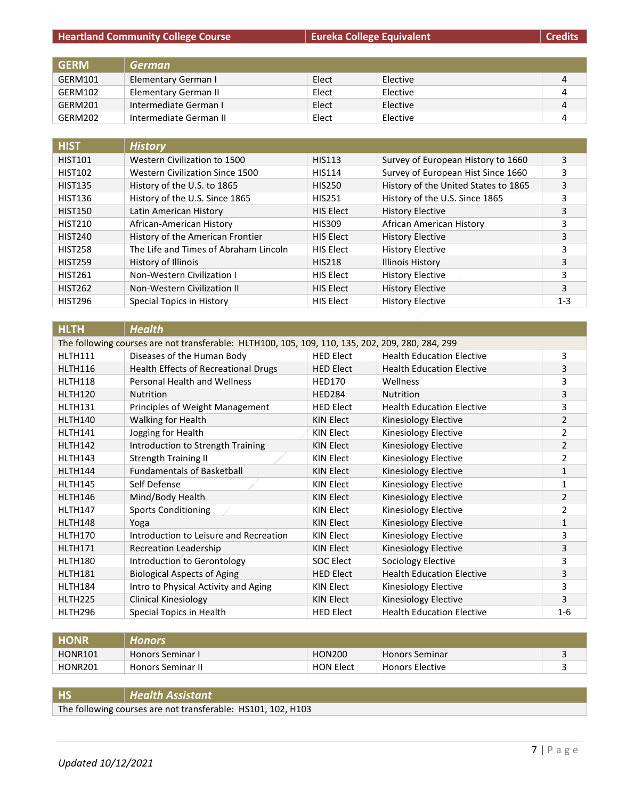| <b>GERM</b> | <b>German</b>          |       |          |   |
|-------------|------------------------|-------|----------|---|
| GERM101     | Elementary German I    | Elect | Elective | 4 |
| GERM102     | Elementary German II   | Elect | Elective | 4 |
| GERM201     | Intermediate German I  | Elect | Elective | 4 |
| GERM202     | Intermediate German II | Elect | Elective |   |

| <b>HIST</b>    | <b>History</b>                        |                  |                                      |         |
|----------------|---------------------------------------|------------------|--------------------------------------|---------|
| <b>HIST101</b> | Western Civilization to 1500          | <b>HIS113</b>    | Survey of European History to 1660   | 3       |
| <b>HIST102</b> | Western Civilization Since 1500       | <b>HIS114</b>    | Survey of European Hist Since 1660   | 3       |
| <b>HIST135</b> | History of the U.S. to 1865           | <b>HIS250</b>    | History of the United States to 1865 | 3       |
| <b>HIST136</b> | History of the U.S. Since 1865        | <b>HIS251</b>    | History of the U.S. Since 1865       | 3       |
| <b>HIST150</b> | Latin American History                | <b>HIS Elect</b> | <b>History Elective</b>              | 3       |
| <b>HIST210</b> | African-American History              | <b>HIS309</b>    | African American History             | 3       |
| <b>HIST240</b> | History of the American Frontier      | <b>HIS Elect</b> | <b>History Elective</b>              | 3       |
| <b>HIST258</b> | The Life and Times of Abraham Lincoln | <b>HIS Elect</b> | <b>History Elective</b>              | 3       |
| <b>HIST259</b> | History of Illinois                   | <b>HIS218</b>    | <b>Illinois History</b>              | 3       |
| <b>HIST261</b> | <b>Non-Western Civilization I</b>     | <b>HIS Elect</b> | <b>History Elective</b>              | 3       |
| <b>HIST262</b> | Non-Western Civilization II           | <b>HIS Elect</b> | <b>History Elective</b>              | 3       |
| <b>HIST296</b> | Special Topics in History             | <b>HIS Elect</b> | <b>History Elective</b>              | $1 - 3$ |

| <b>HLTH</b>    | <b>Health</b>                                                                                    |                  |                                  |                |  |  |
|----------------|--------------------------------------------------------------------------------------------------|------------------|----------------------------------|----------------|--|--|
|                | The following courses are not transferable: HLTH100, 105, 109, 110, 135, 202, 209, 280, 284, 299 |                  |                                  |                |  |  |
| HLTH111        | Diseases of the Human Body                                                                       | <b>HED Elect</b> | <b>Health Education Elective</b> | 3              |  |  |
| <b>HLTH116</b> | <b>Health Effects of Recreational Drugs</b>                                                      | <b>HED Elect</b> | <b>Health Education Elective</b> | 3              |  |  |
| <b>HLTH118</b> | <b>Personal Health and Wellness</b>                                                              | <b>HED170</b>    | Wellness                         | 3              |  |  |
| <b>HLTH120</b> | <b>Nutrition</b>                                                                                 | <b>HED284</b>    | <b>Nutrition</b>                 | 3              |  |  |
| <b>HLTH131</b> | Principles of Weight Management                                                                  | HED Elect        | <b>Health Education Elective</b> | 3              |  |  |
| HLTH140        | Walking for Health                                                                               | <b>KIN Elect</b> | Kinesiology Elective             | $\overline{2}$ |  |  |
| HLTH141        | Jogging for Health                                                                               | <b>KIN Elect</b> | Kinesiology Elective             | 2              |  |  |
| HLTH142        | Introduction to Strength Training                                                                | <b>KIN Elect</b> | Kinesiology Elective             | $\overline{2}$ |  |  |
| HLTH143        | <b>Strength Training II</b>                                                                      | KIN Elect        | Kinesiology Elective             | 2              |  |  |
| HLTH144        | <b>Fundamentals of Basketball</b>                                                                | <b>KIN Elect</b> | Kinesiology Elective             | 1              |  |  |
| HLTH145        | Self Defense                                                                                     | KIN Elect        | Kinesiology Elective             | 1              |  |  |
| HLTH146        | Mind/Body Health                                                                                 | <b>KIN Elect</b> | Kinesiology Elective             | $\overline{2}$ |  |  |
| <b>HLTH147</b> | <b>Sports Conditioning</b>                                                                       | KIN Elect        | Kinesiology Elective             | 2              |  |  |
| HLTH148        | Yoga                                                                                             | <b>KIN Elect</b> | Kinesiology Elective             | 1              |  |  |
| HLTH170        | Introduction to Leisure and Recreation                                                           | <b>KIN Elect</b> | Kinesiology Elective             | 3              |  |  |
| <b>HLTH171</b> | <b>Recreation Leadership</b>                                                                     | KIN Elect        | Kinesiology Elective             | 3              |  |  |
| HLTH180        | Introduction to Gerontology                                                                      | <b>SOC Elect</b> | Sociology Elective               | 3              |  |  |
| <b>HLTH181</b> | <b>Biological Aspects of Aging</b>                                                               | <b>HED Elect</b> | <b>Health Education Elective</b> | 3              |  |  |
| HLTH184        | Intro to Physical Activity and Aging                                                             | KIN Elect        | Kinesiology Elective             | 3              |  |  |
| <b>HLTH225</b> | Clinical Kinesiology                                                                             | <b>KIN Elect</b> | Kinesiology Elective             | 3              |  |  |
| HLTH296        | Special Topics in Health                                                                         | <b>HED Elect</b> | <b>Health Education Elective</b> | $1 - 6$        |  |  |

| <b>HONR</b>    | Honors                   |                  |                        |  |
|----------------|--------------------------|------------------|------------------------|--|
| <b>HONR101</b> | <b>Honors Seminar I</b>  | <b>HON200</b>    | <b>Honors Seminar</b>  |  |
| <b>HONR201</b> | <b>Honors Seminar II</b> | <b>HON Elect</b> | <b>Honors Elective</b> |  |

# **HS** *Health Assistant*

The following courses are not transferable: HS101, 102, H103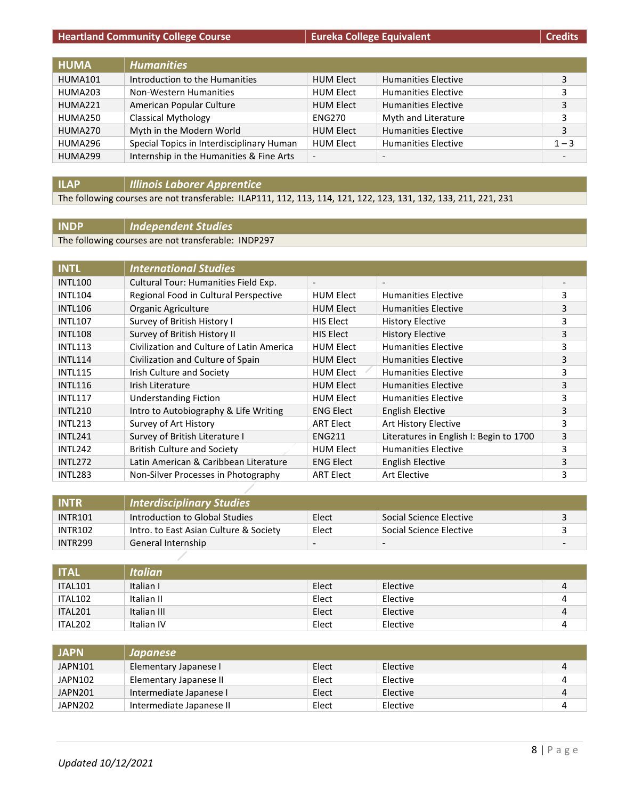| <b>HUMA</b> | <b>Humanities</b>                         |                          |                            |                          |
|-------------|-------------------------------------------|--------------------------|----------------------------|--------------------------|
| HUMA101     | Introduction to the Humanities            | <b>HUM Elect</b>         | <b>Humanities Elective</b> | 3                        |
| HUMA203     | Non-Western Humanities                    | <b>HUM Elect</b>         | <b>Humanities Elective</b> | 3                        |
| HUMA221     | American Popular Culture                  | <b>HUM Elect</b>         | <b>Humanities Elective</b> | 3                        |
| HUMA250     | <b>Classical Mythology</b>                | <b>ENG270</b>            | Myth and Literature        | 3                        |
| HUMA270     | Myth in the Modern World                  | <b>HUM Elect</b>         | <b>Humanities Elective</b> | 3                        |
| HUMA296     | Special Topics in Interdisciplinary Human | <b>HUM Elect</b>         | <b>Humanities Elective</b> | $1 - 3$                  |
| HUMA299     | Internship in the Humanities & Fine Arts  | $\overline{\phantom{a}}$ |                            | $\overline{\phantom{a}}$ |

## **ILAP** *Illinois Laborer Apprentice*

The following courses are not transferable: ILAP111, 112, 113, 114, 121, 122, 123, 131, 132, 133, 211, 221, 231

## **INDP** *Independent Studies*

The following courses are not transferable: INDP297

| <b>INTL</b>    | <b>International Studies</b>              |                          |                                         |   |
|----------------|-------------------------------------------|--------------------------|-----------------------------------------|---|
| <b>INTL100</b> | Cultural Tour: Humanities Field Exp.      | $\overline{\phantom{a}}$ | $\overline{\phantom{a}}$                |   |
| <b>INTL104</b> | Regional Food in Cultural Perspective     | <b>HUM Elect</b>         | <b>Humanities Elective</b>              | 3 |
| <b>INTL106</b> | Organic Agriculture                       | <b>HUM Elect</b>         | <b>Humanities Elective</b>              | 3 |
| <b>INTL107</b> | Survey of British History I               | <b>HIS Elect</b>         | History Elective                        | 3 |
| <b>INTL108</b> | Survey of British History II              | <b>HIS Elect</b>         | <b>History Elective</b>                 | 3 |
| <b>INTL113</b> | Civilization and Culture of Latin America | <b>HUM Elect</b>         | <b>Humanities Elective</b>              | 3 |
| <b>INTL114</b> | Civilization and Culture of Spain         | <b>HUM Elect</b>         | <b>Humanities Elective</b>              | 3 |
| <b>INTL115</b> | Irish Culture and Society                 | <b>HUM Elect</b>         | <b>Humanities Elective</b>              | 3 |
| <b>INTL116</b> | Irish Literature                          | <b>HUM Elect</b>         | <b>Humanities Elective</b>              | 3 |
| <b>INTL117</b> | <b>Understanding Fiction</b>              | <b>HUM Elect</b>         | <b>Humanities Elective</b>              | 3 |
| <b>INTL210</b> | Intro to Autobiography & Life Writing     | <b>ENG Elect</b>         | English Elective                        | 3 |
| <b>INTL213</b> | Survey of Art History                     | <b>ART Elect</b>         | Art History Elective                    | 3 |
| <b>INTL241</b> | Survey of British Literature I            | <b>ENG211</b>            | Literatures in English I: Begin to 1700 | 3 |
| <b>INTL242</b> | <b>British Culture and Society</b>        | <b>HUM Elect</b>         | <b>Humanities Elective</b>              | 3 |
| <b>INTL272</b> | Latin American & Caribbean Literature     | <b>ENG Elect</b>         | English Elective                        | 3 |
| <b>INTL283</b> | Non-Silver Processes in Photography       | <b>ART Elect</b>         | Art Elective                            | 3 |

| <b>INTR</b>         | <b>Interdisciplinary Studies</b>       |                          |                          |  |
|---------------------|----------------------------------------|--------------------------|--------------------------|--|
| <b>INTR101</b>      | Introduction to Global Studies         | Elect                    | Social Science Elective  |  |
| <b>INTR102</b>      | Intro. to East Asian Culture & Society | Elect                    | Social Science Elective  |  |
| INTR <sub>299</sub> | General Internship                     | $\overline{\phantom{0}}$ | $\overline{\phantom{a}}$ |  |

| <b>TTAL</b> | <b>Italian</b> |       |          |   |
|-------------|----------------|-------|----------|---|
| ITAL101     | Italian I      | Elect | Elective | 4 |
| ITAL102     | Italian II     | Elect | Elective | 4 |
| ITAL201     | Italian III    | Elect | Elective | 4 |
| ITAL202     | Italian IV     | Elect | Elective |   |

| <b>JAPN</b> | Japanese                 |       |          |   |
|-------------|--------------------------|-------|----------|---|
| JAPN101     | Elementary Japanese I    | Elect | Elective |   |
| JAPN102     | Elementary Japanese II   | Elect | Elective |   |
| JAPN201     | Intermediate Japanese I  | Elect | Elective | 4 |
| JAPN202     | Intermediate Japanese II | Elect | Elective |   |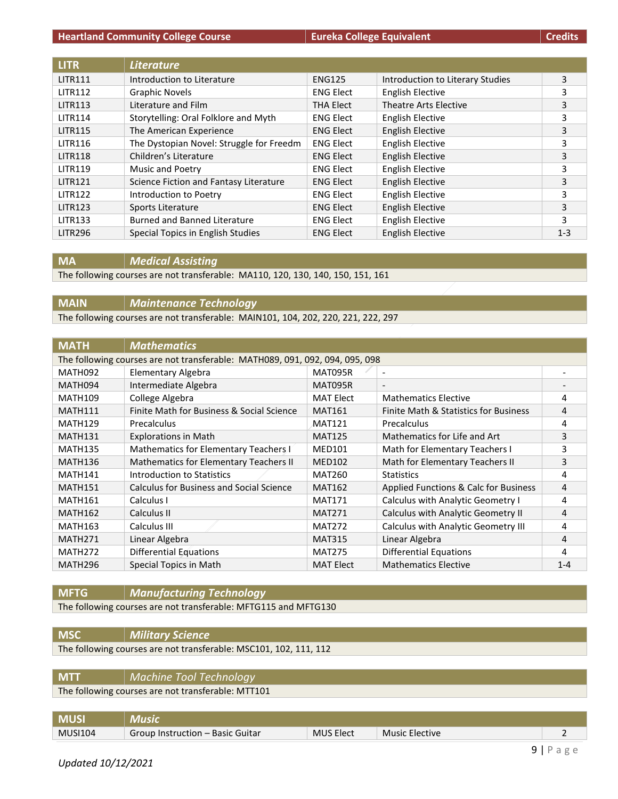#### **Heartland Community College Course Eureka College Equivalent**

|  | Credits |
|--|---------|
|  |         |

| <b>LITR</b>    | <b>Literature</b>                        |                  |                                  |         |
|----------------|------------------------------------------|------------------|----------------------------------|---------|
| <b>LITR111</b> | Introduction to Literature               | <b>ENG125</b>    | Introduction to Literary Studies | 3       |
| <b>LITR112</b> | <b>Graphic Novels</b>                    | <b>ENG Elect</b> | <b>English Elective</b>          | 3       |
| <b>LITR113</b> | Literature and Film                      | <b>THA Elect</b> | Theatre Arts Elective            | 3       |
| <b>LITR114</b> | Storytelling: Oral Folklore and Myth     | <b>ENG Elect</b> | English Elective                 | 3       |
| <b>LITR115</b> | The American Experience                  | <b>ENG Elect</b> | <b>English Elective</b>          | 3       |
| <b>LITR116</b> | The Dystopian Novel: Struggle for Freedm | <b>ENG Elect</b> | <b>English Elective</b>          | 3       |
| <b>LITR118</b> | Children's Literature                    | <b>ENG Elect</b> | <b>English Elective</b>          | 3       |
| <b>LITR119</b> | Music and Poetry                         | <b>ENG Elect</b> | <b>English Elective</b>          | 3       |
| <b>LITR121</b> | Science Fiction and Fantasy Literature   | <b>ENG Elect</b> | English Elective                 | 3       |
| <b>LITR122</b> | Introduction to Poetry                   | <b>ENG Elect</b> | <b>English Elective</b>          | 3       |
| <b>LITR123</b> | Sports Literature                        | <b>ENG Elect</b> | <b>English Elective</b>          | 3       |
| <b>LITR133</b> | <b>Burned and Banned Literature</b>      | <b>ENG Elect</b> | <b>English Elective</b>          | 3       |
| <b>LITR296</b> | Special Topics in English Studies        | <b>ENG Elect</b> | <b>English Elective</b>          | $1 - 3$ |

**MA** *Medical Assisting*

The following courses are not transferable: MA110, 120, 130, 140, 150, 151, 161

**MAIN** *Maintenance Technology*

The following courses are not transferable: MAIN101, 104, 202, 220, 221, 222, 297

| <b>MATH</b>         | <b>Mathematics</b>                                                           |                  |                                       |         |
|---------------------|------------------------------------------------------------------------------|------------------|---------------------------------------|---------|
|                     | The following courses are not transferable: MATH089, 091, 092, 094, 095, 098 |                  |                                       |         |
| MATH092             | Elementary Algebra                                                           | <b>MAT095R</b>   | $\overline{\phantom{a}}$              |         |
| MATH094             | Intermediate Algebra                                                         | MAT095R          | $\overline{\phantom{a}}$              |         |
| <b>MATH109</b>      | College Algebra                                                              | <b>MAT Elect</b> | <b>Mathematics Elective</b>           | 4       |
| <b>MATH111</b>      | Finite Math for Business & Social Science                                    | <b>MAT161</b>    | Finite Math & Statistics for Business | 4       |
| <b>MATH129</b>      | Precalculus                                                                  | <b>MAT121</b>    | Precalculus                           | 4       |
| <b>MATH131</b>      | <b>Explorations in Math</b>                                                  | <b>MAT125</b>    | Mathematics for Life and Art          | 3       |
| <b>MATH135</b>      | Mathematics for Elementary Teachers I                                        | <b>MED101</b>    | Math for Elementary Teachers I        | 3       |
| <b>MATH136</b>      | Mathematics for Elementary Teachers II                                       | <b>MED102</b>    | Math for Elementary Teachers II       | 3       |
| <b>MATH141</b>      | Introduction to Statistics                                                   | <b>MAT260</b>    | <b>Statistics</b>                     | 4       |
| <b>MATH151</b>      | <b>Calculus for Business and Social Science</b>                              | <b>MAT162</b>    | Applied Functions & Calc for Business | 4       |
| <b>MATH161</b>      | Calculus I                                                                   | <b>MAT171</b>    | Calculus with Analytic Geometry I     | 4       |
| <b>MATH162</b>      | Calculus II                                                                  | <b>MAT271</b>    | Calculus with Analytic Geometry II    | 4       |
| <b>MATH163</b>      | Calculus III                                                                 | <b>MAT272</b>    | Calculus with Analytic Geometry III   | 4       |
| <b>MATH271</b>      | Linear Algebra                                                               | <b>MAT315</b>    | Linear Algebra                        | 4       |
| MATH <sub>272</sub> | <b>Differential Equations</b>                                                | <b>MAT275</b>    | <b>Differential Equations</b>         | 4       |
| MATH <sub>296</sub> | Special Topics in Math                                                       | <b>MAT Elect</b> | <b>Mathematics Elective</b>           | $1 - 4$ |

**MFTG** *Manufacturing Technology* The following courses are not transferable: MFTG115 and MFTG130

**MSC** *Military Science*

The following courses are not transferable: MSC101, 102, 111, 112

| <b>MTT</b> | Machine Tool Technology                            |
|------------|----------------------------------------------------|
|            | The following courses are not transferable: MTT101 |
|            |                                                    |

| <b>MUSI</b>    | Music                            |                  |                |  |
|----------------|----------------------------------|------------------|----------------|--|
| <b>MUSI104</b> | Group Instruction – Basic Guitar | <b>MUS Elect</b> | Music Elective |  |
|                |                                  |                  |                |  |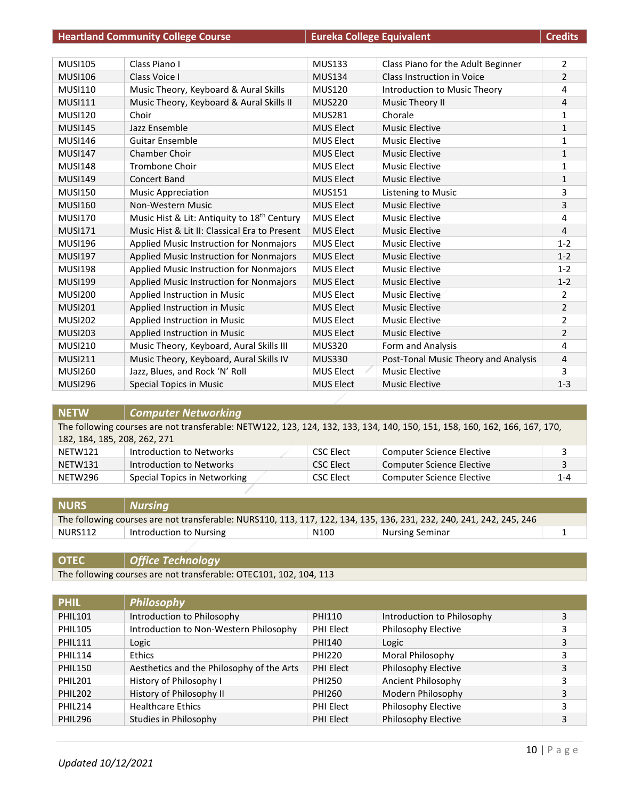|                | <b>Heartland Community College Course</b>               | <b>Eureka College Equivalent</b> |                                      | <b>Credits</b> |
|----------------|---------------------------------------------------------|----------------------------------|--------------------------------------|----------------|
|                |                                                         |                                  |                                      |                |
| <b>MUSI105</b> | Class Piano I                                           | <b>MUS133</b>                    | Class Piano for the Adult Beginner   | $\overline{2}$ |
| <b>MUSI106</b> | Class Voice I                                           | <b>MUS134</b>                    | Class Instruction in Voice           | $\overline{2}$ |
| <b>MUSI110</b> | Music Theory, Keyboard & Aural Skills                   | <b>MUS120</b>                    | Introduction to Music Theory         | 4              |
| <b>MUSI111</b> | Music Theory, Keyboard & Aural Skills II                | <b>MUS220</b>                    | Music Theory II                      | 4              |
| <b>MUSI120</b> | Choir                                                   | <b>MUS281</b>                    | Chorale                              | $\mathbf{1}$   |
| <b>MUSI145</b> | Jazz Ensemble                                           | <b>MUS Elect</b>                 | <b>Music Elective</b>                | $\mathbf{1}$   |
| <b>MUSI146</b> | <b>Guitar Ensemble</b>                                  | <b>MUS Elect</b>                 | Music Elective                       | $\mathbf{1}$   |
| <b>MUSI147</b> | Chamber Choir                                           | <b>MUS Elect</b>                 | <b>Music Elective</b>                | $\mathbf{1}$   |
| <b>MUSI148</b> | <b>Trombone Choir</b>                                   | <b>MUS Elect</b>                 | <b>Music Elective</b>                | 1              |
| <b>MUSI149</b> | Concert Band                                            | <b>MUS Elect</b>                 | <b>Music Elective</b>                | $\mathbf{1}$   |
| <b>MUSI150</b> | <b>Music Appreciation</b>                               | <b>MUS151</b>                    | Listening to Music                   | 3              |
| <b>MUSI160</b> | Non-Western Music                                       | <b>MUS Elect</b>                 | <b>Music Elective</b>                | 3              |
| <b>MUSI170</b> | Music Hist & Lit: Antiquity to 18 <sup>th</sup> Century | <b>MUS Elect</b>                 | <b>Music Elective</b>                | 4              |
| <b>MUSI171</b> | Music Hist & Lit II: Classical Era to Present           | <b>MUS Elect</b>                 | <b>Music Elective</b>                | 4              |
| <b>MUSI196</b> | Applied Music Instruction for Nonmajors                 | <b>MUS Elect</b>                 | <b>Music Elective</b>                | $1 - 2$        |
| <b>MUSI197</b> | Applied Music Instruction for Nonmajors                 | <b>MUS Elect</b>                 | Music Elective                       | $1 - 2$        |
| <b>MUSI198</b> | Applied Music Instruction for Nonmajors                 | MUS Elect                        | <b>Music Elective</b>                | $1 - 2$        |
| <b>MUSI199</b> | <b>Applied Music Instruction for Nonmajors</b>          | <b>MUS Elect</b>                 | <b>Music Elective</b>                | $1 - 2$        |
| <b>MUSI200</b> | Applied Instruction in Music                            | <b>MUS Elect</b>                 | Music Elective                       | 2              |
| <b>MUSI201</b> | Applied Instruction in Music                            | <b>MUS Elect</b>                 | <b>Music Elective</b>                | $\overline{2}$ |
| <b>MUSI202</b> | Applied Instruction in Music                            | <b>MUS Elect</b>                 | Music Elective                       | $\overline{2}$ |
| <b>MUSI203</b> | Applied Instruction in Music                            | <b>MUS Elect</b>                 | <b>Music Elective</b>                | 2              |
| <b>MUSI210</b> | Music Theory, Keyboard, Aural Skills III                | <b>MUS320</b>                    | Form and Analysis                    | 4              |
| <b>MUSI211</b> | Music Theory, Keyboard, Aural Skills IV                 | <b>MUS330</b>                    | Post-Tonal Music Theory and Analysis | 4              |
| <b>MUSI260</b> | Jazz, Blues, and Rock 'N' Roll                          | <b>MUS Elect</b>                 | <b>Music Elective</b>                | 3              |
| <b>MUSI296</b> | <b>Special Topics in Music</b>                          | <b>MUS Elect</b>                 | <b>Music Elective</b>                | $1 - 3$        |

| <b>NETW</b>                  | <b>Computer Networking</b>                                                                                                 |                  |                                  |         |  |
|------------------------------|----------------------------------------------------------------------------------------------------------------------------|------------------|----------------------------------|---------|--|
|                              | The following courses are not transferable: NETW122, 123, 124, 132, 133, 134, 140, 150, 151, 158, 160, 162, 166, 167, 170, |                  |                                  |         |  |
| 182, 184, 185, 208, 262, 271 |                                                                                                                            |                  |                                  |         |  |
| NETW121                      | Introduction to Networks                                                                                                   | CSC Elect        | <b>Computer Science Elective</b> | 3       |  |
| NETW131                      | Introduction to Networks                                                                                                   | <b>CSC Elect</b> | <b>Computer Science Elective</b> | 3       |  |
| NETW296                      | Special Topics in Networking                                                                                               | <b>CSC Elect</b> | <b>Computer Science Elective</b> | $1 - 4$ |  |
|                              |                                                                                                                            |                  |                                  |         |  |

| <b>NURS</b> | Nursing                                                                                                              |                  |                        |  |
|-------------|----------------------------------------------------------------------------------------------------------------------|------------------|------------------------|--|
|             | The following courses are not transferable: NURS110, 113, 117, 122, 134, 135, 136, 231, 232, 240, 241, 242, 245, 246 |                  |                        |  |
| NURS112     | Introduction to Nursing                                                                                              | N <sub>100</sub> | <b>Nursing Seminar</b> |  |

**OTEC** *Office Technology* The following courses are not transferable: OTEC101, 102, 104, 113

| <b>PHIL</b>     | <b>Philosophy</b>                         |               |                            |   |
|-----------------|-------------------------------------------|---------------|----------------------------|---|
| <b>PHIL101</b>  | Introduction to Philosophy                | PHI110        | Introduction to Philosophy | 3 |
| <b>PHIL105</b>  | Introduction to Non-Western Philosophy    | PHI Elect     | Philosophy Elective        | 3 |
| <b>PHIL111</b>  | Logic                                     | PHI140        | Logic                      | 3 |
| <b>PHIL114</b>  | <b>Ethics</b>                             | <b>PHI220</b> | Moral Philosophy           | 3 |
| PHIL150         | Aesthetics and the Philosophy of the Arts | PHI Elect     | Philosophy Elective        | 3 |
| <b>PHIL201</b>  | History of Philosophy I                   | <b>PHI250</b> | Ancient Philosophy         | 3 |
| <b>PHII 202</b> | History of Philosophy II                  | PHI260        | Modern Philosophy          | 3 |
| PHIL214         | <b>Healthcare Ethics</b>                  | PHI Elect     | Philosophy Elective        | 3 |
| <b>PHIL296</b>  | Studies in Philosophy                     | PHI Elect     | Philosophy Elective        | 3 |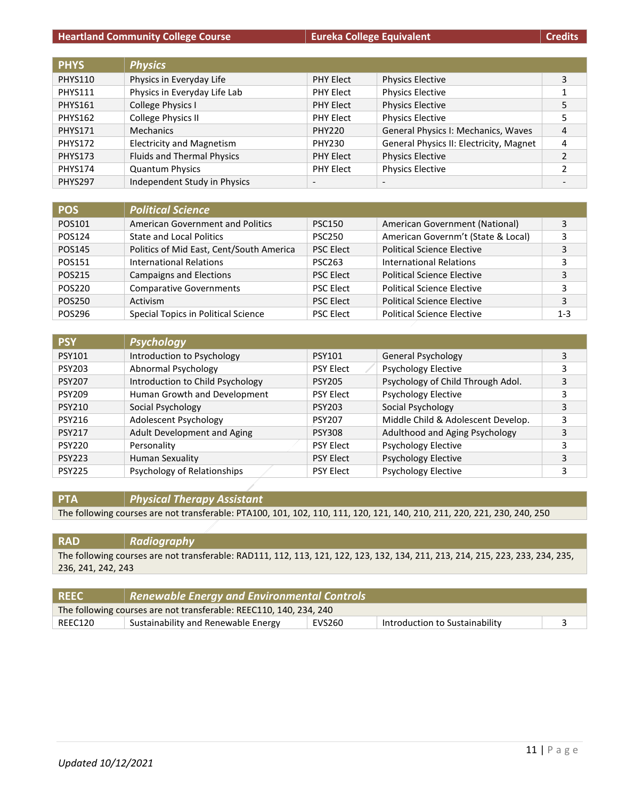| <b>PHYS</b>    | <b>Physics</b>                    |                          |                                         |                |
|----------------|-----------------------------------|--------------------------|-----------------------------------------|----------------|
| <b>PHYS110</b> | Physics in Everyday Life          | <b>PHY Elect</b>         | <b>Physics Elective</b>                 | 3              |
| <b>PHYS111</b> | Physics in Everyday Life Lab      | <b>PHY Elect</b>         | <b>Physics Elective</b>                 |                |
| <b>PHYS161</b> | College Physics I                 | <b>PHY Elect</b>         | <b>Physics Elective</b>                 | 5              |
| <b>PHYS162</b> | College Physics II                | <b>PHY Elect</b>         | <b>Physics Elective</b>                 | 5              |
| <b>PHYS171</b> | <b>Mechanics</b>                  | <b>PHY220</b>            | General Physics I: Mechanics, Waves     | 4              |
| <b>PHYS172</b> | <b>Electricity and Magnetism</b>  | <b>PHY230</b>            | General Physics II: Electricity, Magnet | 4              |
| <b>PHYS173</b> | <b>Fluids and Thermal Physics</b> | <b>PHY Elect</b>         | <b>Physics Elective</b>                 | 2              |
| <b>PHYS174</b> | <b>Quantum Physics</b>            | <b>PHY Elect</b>         | <b>Physics Elective</b>                 | $\mathfrak{p}$ |
| <b>PHYS297</b> | Independent Study in Physics      | $\overline{\phantom{a}}$ |                                         |                |

| <b>POS</b> | <b>Political Science</b>                 |                  |                                    |         |
|------------|------------------------------------------|------------------|------------------------------------|---------|
| POS101     | American Government and Politics         | <b>PSC150</b>    | American Government (National)     | 3       |
| POS124     | <b>State and Local Politics</b>          | <b>PSC250</b>    | American Governm't (State & Local) | 3       |
| POS145     | Politics of Mid East, Cent/South America | <b>PSC Elect</b> | <b>Political Science Elective</b>  | 3       |
| POS151     | <b>International Relations</b>           | <b>PSC263</b>    | <b>International Relations</b>     | 3       |
| POS215     | <b>Campaigns and Elections</b>           | <b>PSC Elect</b> | <b>Political Science Elective</b>  | 3       |
| POS220     | <b>Comparative Governments</b>           | <b>PSC Elect</b> | <b>Political Science Elective</b>  | 3       |
| POS250     | Activism                                 | <b>PSC Elect</b> | <b>Political Science Elective</b>  | 3       |
| POS296     | Special Topics in Political Science      | <b>PSC Elect</b> | <b>Political Science Elective</b>  | $1 - 3$ |

| <b>PSY</b>    | <b>Psychology</b>                |                  |                                    |   |
|---------------|----------------------------------|------------------|------------------------------------|---|
| <b>PSY101</b> | Introduction to Psychology       | <b>PSY101</b>    | <b>General Psychology</b>          | 3 |
| <b>PSY203</b> | Abnormal Psychology              | <b>PSY Elect</b> | <b>Psychology Elective</b>         |   |
| <b>PSY207</b> | Introduction to Child Psychology | <b>PSY205</b>    | Psychology of Child Through Adol.  | 3 |
| <b>PSY209</b> | Human Growth and Development     | <b>PSY Elect</b> | <b>Psychology Elective</b>         |   |
| <b>PSY210</b> | Social Psychology                | <b>PSY203</b>    | Social Psychology                  | 3 |
| <b>PSY216</b> | Adolescent Psychology            | <b>PSY207</b>    | Middle Child & Adolescent Develop. |   |
| <b>PSY217</b> | Adult Development and Aging      | <b>PSY308</b>    | Adulthood and Aging Psychology     | 3 |
| <b>PSY220</b> | Personality                      | <b>PSY Elect</b> | <b>Psychology Elective</b>         |   |
| <b>PSY223</b> | <b>Human Sexuality</b>           | <b>PSY Elect</b> | <b>Psychology Elective</b>         |   |
| <b>PSY225</b> | Psychology of Relationships      | <b>PSY Elect</b> | <b>Psychology Elective</b>         |   |

**PTA** *Physical Therapy Assistant*

The following courses are not transferable: PTA100, 101, 102, 110, 111, 120, 121, 140, 210, 211, 220, 221, 230, 240, 250

| <b>RAD</b>         | Radiography                                                                                                                    |
|--------------------|--------------------------------------------------------------------------------------------------------------------------------|
|                    | The following courses are not transferable: RAD111, 112, 113, 121, 122, 123, 132, 134, 211, 213, 214, 215, 223, 233, 234, 235, |
| 236, 241, 242, 243 |                                                                                                                                |
|                    |                                                                                                                                |

| <b>REEC</b>                                                        | Renewable Energy and Environmental Controls |        |                                |  |
|--------------------------------------------------------------------|---------------------------------------------|--------|--------------------------------|--|
| The following courses are not transferable: REEC110, 140, 234, 240 |                                             |        |                                |  |
| REEC120                                                            | Sustainability and Renewable Energy         | EVS260 | Introduction to Sustainability |  |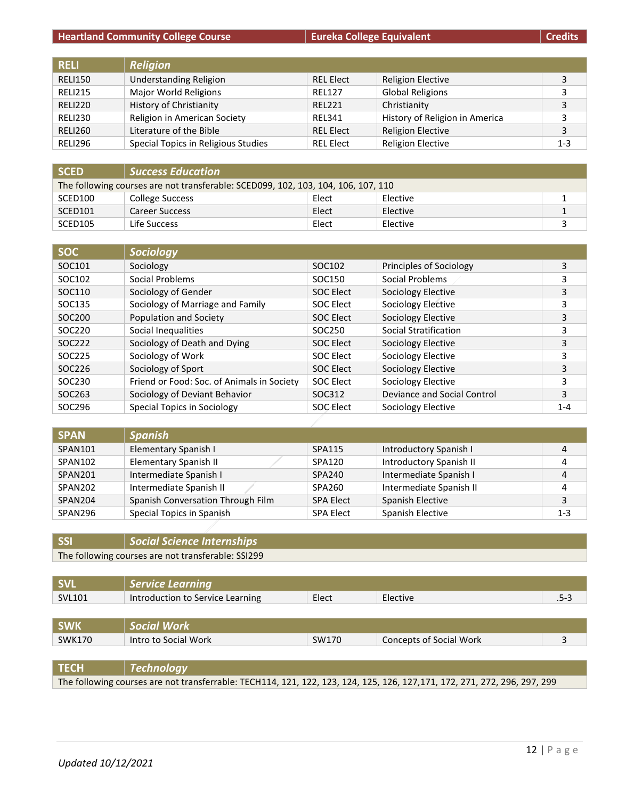| <b>RELL</b>    | <b>Religion</b>                     |                  |                                |         |
|----------------|-------------------------------------|------------------|--------------------------------|---------|
| <b>RELI150</b> | <b>Understanding Religion</b>       | <b>REL Elect</b> | <b>Religion Elective</b>       | 3       |
| <b>RELI215</b> | Major World Religions               | <b>REL127</b>    | <b>Global Religions</b>        | 3       |
| <b>RELI220</b> | History of Christianity             | <b>REL221</b>    | Christianity                   | 3       |
| <b>RELI230</b> | Religion in American Society        | <b>REL341</b>    | History of Religion in America | 3       |
| <b>RELI260</b> | Literature of the Bible             | <b>REL Elect</b> | <b>Religion Elective</b>       | 3       |
| RELI296        | Special Topics in Religious Studies | <b>REL Elect</b> | <b>Religion Elective</b>       | $1 - 3$ |

| <b>SCED</b>                                                                       | <b>Success Education</b> |       |          |  |
|-----------------------------------------------------------------------------------|--------------------------|-------|----------|--|
| The following courses are not transferable: SCED099, 102, 103, 104, 106, 107, 110 |                          |       |          |  |
| SCED <sub>100</sub>                                                               | College Success          | Elect | Elective |  |
| SCED <sub>101</sub>                                                               | Career Success           | Elect | Elective |  |
| SCED105                                                                           | Life Success             | Elect | Elective |  |

| <b>SOC</b> | Sociology                                  |                  |                             |         |
|------------|--------------------------------------------|------------------|-----------------------------|---------|
| SOC101     | Sociology                                  | SOC102           | Principles of Sociology     | 3       |
| SOC102     | Social Problems                            | SOC150           | Social Problems             | 3       |
| SOC110     | Sociology of Gender                        | SOC Elect        | Sociology Elective          | 3       |
| SOC135     | Sociology of Marriage and Family           | SOC Elect        | Sociology Elective          | 3       |
| SOC200     | Population and Society                     | <b>SOC Elect</b> | Sociology Elective          | 3       |
| SOC220     | Social Inequalities                        | SOC250           | Social Stratification       | 3       |
| SOC222     | Sociology of Death and Dying               | SOC Elect        | Sociology Elective          | 3       |
| SOC225     | Sociology of Work                          | SOC Elect        | Sociology Elective          | 3       |
| SOC226     | Sociology of Sport                         | <b>SOC Elect</b> | Sociology Elective          | 3       |
| SOC230     | Friend or Food: Soc. of Animals in Society | SOC Elect        | Sociology Elective          | 3       |
| SOC263     | Sociology of Deviant Behavior              | SOC312           | Deviance and Social Control | 3       |
| SOC296     | <b>Special Topics in Sociology</b>         | SOC Elect        | Sociology Elective          | $1 - 4$ |

| <b>SPAN</b> | <b>Spanish</b>                    |                  |                         |         |
|-------------|-----------------------------------|------------------|-------------------------|---------|
| SPAN101     | Elementary Spanish I              | SPA115           | Introductory Spanish I  | 4       |
| SPAN102     | Elementary Spanish II             | SPA120           | Introductory Spanish II | 4       |
| SPAN201     | Intermediate Spanish I            | SPA240           | Intermediate Spanish I  | 4       |
| SPAN202     | Intermediate Spanish II           | SPA260           | Intermediate Spanish II | 4       |
| SPAN204     | Spanish Conversation Through Film | <b>SPA Elect</b> | Spanish Elective        | Э       |
| SPAN296     | Special Topics in Spanish         | <b>SPA Elect</b> | Spanish Elective        | $1 - 3$ |

## **SSI** *Social Science Internships*

The following courses are not transferable: SSI299

| <b>SVL</b>    | <b>Service Learning</b>          |       |                         |      |
|---------------|----------------------------------|-------|-------------------------|------|
| <b>SVL101</b> | Introduction to Service Learning | Elect | Elective                | .5-3 |
|               |                                  |       |                         |      |
| <b>SWK</b>    | <b>Social Work</b>               |       |                         |      |
| <b>SWK170</b> | Intro to Social Work             | SW170 | Concepts of Social Work |      |
|               |                                  |       |                         |      |

**TECH** *Technology*

The following courses are not transferrable: TECH114, 121, 122, 123, 124, 125, 126, 127,171, 172, 271, 272, 296, 297, 299